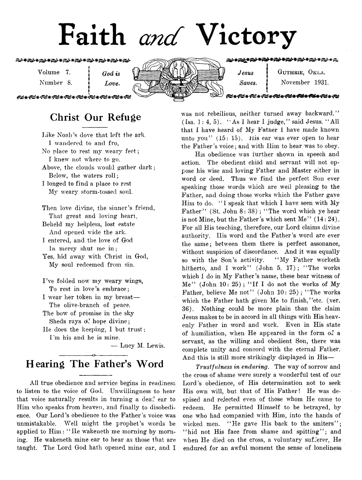# Faith *and* Victory

**\*\*\*\*\*\*\*\*\*\*\*\*\*\*\*\*\*\*\*** 

Volume 7. **j** *God is* Number 8. *i Love.*



こうさくこうきょう きょうき

 $Jesus$  | GUTHRIE, OKLA. *Saves.* | November 1931.

**|** <del>™™™™™</del> بجديد مصريد مت

## **Christ Our Refuge**

f

liike Noali's dove that left the ark, I wandered to and fro, No place to rest my weary feet; I knew not where to go. Above, the clouds would gather dark; Below, the waters roll; I longed to find a place to rest My weary storm-tossed soul.

Then love divine, the sinner's friend, That great and loving heart.

Beheld my helpless, lost estate And opened wide the ark.

I entered, and the love of God in mercy shut me in ;

Yes, hid away with Christ in God, My soul redeemed from sin.

I've folded now my weary wings, To rest in love's embrace; I wear her token in my breast—

The olive-branch of peace.

The bow of promise in the sky Sheds rays  $\phi^2$  hope divine;

He does the keeping, I but trust; I 'm his and he is mine.

— Lucy M. Lewis.

#### -----------------o---------------- **Hearing The Father's Word**

All true obedience and service begins in readiness to listen to the voice of God. Unwillingness to hear that voice naturally results in turning a dea? ear to Him who speaks from heaven, and finally to disobedience. Our Lord's obedience to the Father's voice was unmistakable. Well might the prophet's words be applied to Him: " He wakeneth me morning by morning. He wakeneth mine ear to hear as those that are taught. The Lord God hath opened mine ear, and I

was not rebellious, neither turned away backward." (Isa. 1 : 4, 5). " As I hear I judge," said Jesus. " All that I have heard of My Father I have made known unto you" (15: 15). His ear was ever open to hear the Father's voice; and with Him to hear was to obey.

His obedience was further shown in speech and action. The obedient child and servant will not oppose his wise and loving Father and Master either in word or deed. Thus we find the perfect Son ever speaking those words which are well pleasing to the Father, and doing those works which the Father gave Him to do. "I speak that which I have seen with My Father" (St. John 8: 38); "The word which ye hear is not Mine, but the Father's which sent Me''  $(14:24)$ . For all His teaching, therefore, our Lord claims divine authority. Ills word and the Father's word are ever the same; between them there is perfect assonance, without suspicion of discordance. And it was equally so with the Son's activity. " My Father worketh hitherto, and I work" (John 5. 17); "The works which I do in My Father's name, these bear witness of  $Me''$  (John 10: 25); "If I do not the works of My Father, believe Me not" (John  $10: 25$ ); "The works which the Father hath given Me to finish, 'etc. (ver. 36). Nothing could be more plain than the claim Jesus makes to be in accord in all things with His heavenly Father in word and work. Even in His state of humiliation, when He appeared in the form of a servant, as the willing and obedient Son, there was complete unity and concord with the eternal Father, And this is still more strikingly displayed in His—

*Trustfulness in enduring.* The way of sorrow and the cross of shame were surely a wonderful test of our Lord's obedience, of His determination not to seek His own will, but that of His Father! He was despised and rejected even of those whom He came to redeem. He permitted Himself to be betrayed, by one who had companied with Him, into the hands of wicked men. "He gave His back to the smiters"; "hid not His face from shame and spitting"; and when He died on the cross, a voluntary sufferer, He endured for an awful moment the sense of loneliness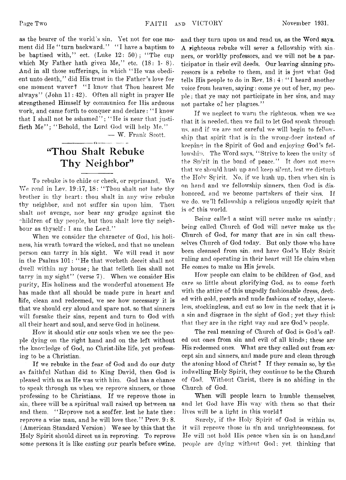as the bearer of the world's sin. Yet not for one moment did He "turn backward." "I have a baptism to be baptised with," ect. (Luke  $12: 50$ ); "The cup which My Father hath given Me," etc. (18: 1-8). And in all those sufferings, in which " He was obedient unto death," did His trust in the Father's love for one moment waver? "I know that Thou hearest Me always" (John 11: 42). Often all night in prayer He strengthened Himself by communion for His arduous work, and came forth to conquer and declare : " I know that I shall not be ashamed"; "He is near that justifieth Me"; "Behold, the Lord God will help Me."

— W. Frank Scott.

# **"Thou Shalt Rebuke Thy Neighbor"**

----------------< y----------------

To rebuke is to chide or check, or reprimand. We We read in Lev. 19:17, 18: " Thou shalt not hate thy brother in thy heart: thou shalt in any wise rebuke thv neighbor, and not suffer sin upon him. Thou shalt not avenge, nor bear any grudge against the "hildren of thy people, but thou shalt love thy neighbour as thyself : I am the Lord."

When we consider the character of God, his holiness, his wrath toward the wicked, and that no unclean person can tarry in his sight. We will read it now in the Psalms 101: " He that worketh deceit shall not dwell within my house; he that telleth lies shall not tarry in my sight" (verse 7). When we consider His purity, His holiness and the wonderful atonement He has made that all should be made pure in heart and life, clean and redeemed, we see how necessary it is that we should cry aloud and spare not. so that sinners will forsake their sins, repent and turn to God with all their heart and soul, and serve God in holiness.

How it should stir our souls when we see the people dying on the right hand and on the left without the knowledge of God, no Christ-like life, yet professing to be a Christian.

If we rebuke in the fear of God and do our duty as faithful Nathan did to King David, then God is pleased with us as He was with him. God has a chance to speak through us when we reprove sinners, or those professing to be Christians. If we reprove those in sin, there will be a spiritual wall raised up between us and them. "Reprove not a scoffer, lest he hate thee: reprove a wise man, and he will love thee." Prov. 9:8. (American Standard Version) We see by this that the Holy Spirit should direct us in reproving. To reprove some persons it is like casting pur pearls before swine, and they turn upon us and rend us, as the Word says. A righteous rebuke will sever a fellowship with sinners, or worldly professors, and we will not be a participator in their evil deeds. Our leaving sinning proressors is a rebuke to them, and it is just what God tells His people to do in Rev. 18: 4: " I heard another voice from heaven, saying: come ye out of her, my people ; that ye may not participate in her sins, and may not partake of her plagues."

If we neglect to warn the righteous, when we see that it is needed, then we fail to let God speak through us, and if we are not careful we will begin to fellowship that spirit that is in the wrong-doer instead of keeping in the Spirit of God and enjoying God's fellowship. The Word says, "Strive to keen the unity of the Sp'rit in the bond of peace." It does not mem. that we should hush up and keep silent, lest we disturb the Holv Spirit. No, if we hush up, then when sin is on hand and we fellowship sinners, then God is dishonored, and we become partakers of their sins. If we do, we'll fellowship a religious ungodly spirit that is of this world.

Being called a saint will never make us saintly; being called Church of God will never make us the Church of God, for many that are in sin call themselves Church of God today. But only those who have been cleansed from sin, and have God's Holy Spirit ruling and operating in their heart will He claim when He comes to make us His jewels.

How people can claim to be children of God, and care so little about glorifying God, as to come forth with the attire of this ungodly fashionable dress, decked with gold, pearls and nude fashions of today, sleeveless, stockingless, and cut so low in the neck that it is a sin and disgrace in the sight of God; yet they think that they are in the right way and are God's people.

The real meaning of Church of God is God's called out ones from sin and evil of all kinds; these are His redeemed ones. What are they called out from except sin and sinners, and made pure and clean through the atoning blood of Christ ? If they remain so, by the indwelling Holy Spirit, they continue to be the Church of God. Without Christ, there is no abiding in the Church of God.

When will people learn to humble themselves, and let God have His way with them so that their lives will be a light in this world?

Surely, if the Holy Spirit of God is within us. it will reprove those in sin and unrighteousness, fot He will not hold His peace when sin is on hand,and people are dying without God; vet, thinking that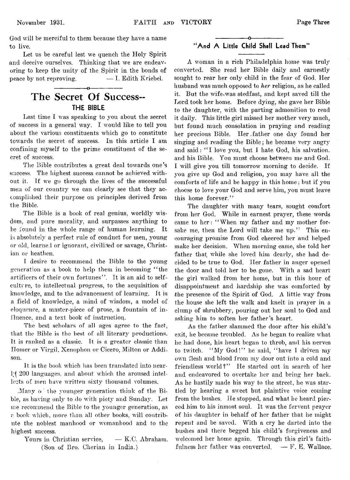God will be merciful to them because they have a name to live.

Let us be careful lest we quench the Holy Spirit and deceive ourselves. Thinking that we are endeavoring to keep the unity of the Spirit in the bonds of peace by not reproving.  $- I.$  Edith Kriebel.

### **The Secret Of Success— THE BIBLE**

-----------------o-----------------

Last time I was speaking to you about the secret of success in a general way. I would like to tell you about the various constituents which go to constitute towards the secret of success. In this article I am confining myself to the prime constituent of the secret of success.

The Bible contributes a great deal towards one's success. The highest success cannot be achieved without it. If we go through the lives of the successful men of our country we can clearly see that they accomplished their purpose on principles derived from the Bible.

The Bible is a book of real genius, worldly wisdom, and pure morality, and surpasses anything to be found in the whole range of human learning. It is absolutely a perfect rule of conduct for men, young or old, learned or ignorant, civilised or savage, Christian or heathen.

I desire to recommend the Bible to the young generation as a book to help them in becoming "the artificers of their own fortunes". It is an aid to selfculture, to intellectual progress, to the acquisition of knowledge, and to the advancement of learning. It is a field of knowledge, a mind of wisdom, a model of eloquence, a master-piece of prose, a fountain of influence, and a text book of instruction.

The best scholars of all ages agree to the fact, that the Bible is the best of all literary productions. It is ranked as a classic. It is a greater classic than Homer or Virgil, Xenophon or Cicero, Milton or Addison.

It is the book which has been translated into nearly 200 languages, and about which the aroused intellects of men have written sixty thousand volumes.

. Many of the younger generation think of the Bible, as having only to do with piety and Sunday. Let me recommend the Bible to the younger generation, as a book which, more than all other books, will contribute the noblest manhood or womanhood and to the highest success.

Yours in Christian service,  $- K.C.$  Abraham. (Son of Bro. Cherian in India.)

#### -----------------o---------------- "And A Little Child Shall Lead Them"

A woman in a rich Philadelphia home was truly converted. She read her Bible daily and earnestly sought to rear her only child in the fear of God. Her husband was much opposed to *her* religion, as he called it. But the wife.was stedfast, and kept saved till the Lord took her home. Before dying, she gave her Bible to the daughter, with the parting admonition to read it daily. This little girl missed her mother very much, but found much consolation in praying and reading her precious Bible. Her .father one day found her singing and reading the Bible; he became very angry and said: "I love you, but I hate God, his salvation. and his Bible. You must choose between me and God. I will give you till tomorrow" morning to decide. If you give up God and religion, you may have all the comforts of life and be happy in this home: but if you choose to love your God and serve him, you must leave this home forever."

The daughter with many tears, sought comfort from her God. While in earnest prayer, these words came to her: "When my father and my mother forsake me, then the Lord will take me up." This encouraging promise from God cheered her and helped make her decision. When morning came, she told her father that while she loved him dearly, she had decided to be true to God. Her father in anger opened the door and told her to be. gone. With a sad heart the girl walked from her home, but in this hour of disappointment and hardship she was comforted by the presence of the Spirit of God. A little way from the house she left the walk and knelt in prayer in a clump of shrubbery, pouring out her soul to God and asking him to soften her father's heart.

As the father slammed the door after his child's exit, he became troubled. As he began to realize what he had done, his heart began to throb, and his nerves to twitch. "My God!" he said, "have I driven my own flesh and blood from my door out into a cold and friendless world?" He started out in search of her and endeavored to overtake her and bring her back. As he hastily made his way to the street, he was startled by hearing a sweet but plaintive voice coming from the bushes. He stopped, and what he heard pierced him to his inmost soul. It was the fervent prayer of his daughter in behalf of her father that he might repent and be saved. With a cry he darted into the bushes and there begged his child's forgiveness and welcomed her home again. Through this girl's faithfulness her father was converted.  $-$  F. E. Wallace.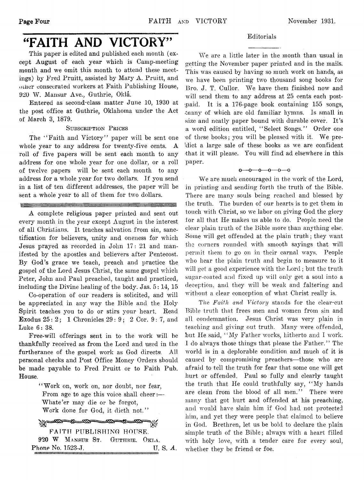# "FAITH AND VICTORY"

This paper is edited and published each month (except August of each year which is Camp-meeting month and we omit this month to attend these meetings) by Fred Pruitt, assisted by Mary A. Pruitt, and other consecrated workers at Faith Publishing House, 920 W. Mansur Ave., Guthrie, Okla.

Entered as second-class matter June 10, 1930 at the post office at Guthrie, Oklahoma under the Act of March 3, 1879.

#### **Subscription Prices**

The "Faith and Victory" paper will be sent one whole year to any address for twenty-five cents. A roll of five papers will be sent each month to any address for one whole year for one dollar, or a roll of twelve papers will be sent each month to any address for a whole year for two dollars. If you send in a list of ten different addresses, the paper will be sent a whole year to all of them for two dollars.

A complete religious paper printed and sent out every month in the year except August in the interest of all Christians. It teaches salvation from sin, sanctification for believers, unity and oneness for which Jesus prayed as recorded in John 17: 21 and manifested by the apostles and believers after Pentecost. By God's grace we teach, preach and practice the gospel of the Lord Jesus Christ, the same gospel which Peter, John and Paul preached, taught and practiced, including the Divine healing of the body. Jas. 5 : 14, 15

Co-operation of our readers is solicited, and will be appreciated in any way the Bible and the Holy Spirit teaches you to do or stirs your heart. Read **Exodus 25: 2;** 1 Chronicles  $29: 9: 2$  Cor.  $9: 7$ , and Luke 6: 38.

Free-will offerings sent in to the work will be thankfully received as from the Lord and used in the furtherance of the gospel work as God directs. All personal checks and Post Office Money Orders should be made payable to Fred Pruitt or to Faith Pub. House.

> "Work on, work on, nor doubt, nor fear, From age to age this voice shall cheer:— Whate'er may die or be forgot, Work done for God, it dieth not."

ᄍ ≈⊗ ≫% FAITH PUBLISHING HOUSE. 920 **W Mansur** St. **Guthrie, Okla.** Phone No. 1523-J. U. S. *A.* imimtitiiiiimiiiimiiiiiiimiiiiiiiiiiiiiiiimimimMiiiiiiimimiiiiiiiiiiiiiiiiiimimiiiiiiimiiiiiiiiiii

#### Editorials

We are a little later in the month than usual in getting the November paper printed and in the mails. This was caused by having so much work on hands, as we have been printing two thousand song books for Bro. J. T. Cullor. We have them finished now and will send them to any address at 25 cents each post--paid. It is a 176-page book containing 155 songs, -inany of which are old familiar hymns. Is small in size and neatly paper bound with durable cover. It's a word edition entitled, " Select Songs." Order one of these books; you will be pleased with it. We predict a large sale of these books as we are confident -that it will please. You will find ad elsewhere in this paper.

#### o— o— o— o—0—0

We are much encouraged in the work of the Lord, in printing and sending forth the truth of the Bible. There are many souls being reached and blessed by the truth. The burden of our hearts is to get them in touch with Christ, so we labor on giving God the glory for all that He makes us able to do. People need the clear plain truth of the Bible more than anything else. Some will get offended at the plain truth; they want the corners rounded with smooth sayings that will permit them to go on in their carnal ways. People who hear the plain truth and begin to measure to it will get a good experience with the Lord; but the truth sugar-coated and fixed up will only get a soul into a deception, and they will be weak and faltering and without a clear conception of what Christ really is.

The *Faith and Victory* stands for the clear-cut Bible truth that frees men and women from sin and all condemnation. Jesus Christ was very plain in teaching and giving out truth. Many were offended, but He said, " My Father works, hitherto and I work. I do always those things that please the Father." The world is in a deplorable condition and much of it is caused by compromising preachers—those who are afraid to tell the truth for fear that some one will get hurt or offended. Paul so fully and clearly taught the truth that He could truthfully say, " My hands are clean from the blood of all men." There were many that got hurt and offended at his preaching, and would have slain him if God had not protected him, and yet they were people that claimed to believe in God. Brethren, let us be bold to declare the plain simple truth of the Bible; always with a heart filled with holy love, with a tender care for every soul, whether they be friend or foe.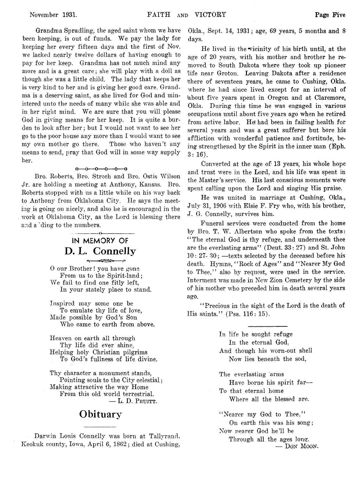Grandma Spradling, the aged saint whom we have been keeping, is out of funds. We pay the lady for keeping her every fifteen days and the first of Nov. we lacked nearly twelve dollars of having enough to pay for her keep. Grandma has not much mind any more and is a great care; she will play with a doll as though she was a little child. The lady that keeps her is very kind to her and is giving her good care. Grandma is a deserving saint, as she lived for God and ministered unto the needs of many while she was able and in her right mind. We are sure that you will please God in giving means for her keep. It is quite a burden to look after her; but I would not want to see her go to the poor house any more than I would want to see my own mother go there. Those who haven't any means to send, pray that God will in some way supply her.

#### $0 - 0 - 0 - 0 - 0$

Rro. Roberts, Bro. Strcch and Bro. Ostis Wilson Jr. are holding a meeting at Anthony, Kansas. Bro. Roberts stopped with us a little while on his way back to Anthony from Oklahoma City. He says the meeting is going on nicely, and also he is encouraged in the work at Oklahoma City, as the Lord is blessing there and a 'ding to the numbers.

## **IN MEMORY OF D. L. Connelly**

--------------o-----------------

0 our Brother! you have gone From us to the Spirit-land; We fail to find one fitly left, In your stately place to stand.

Inspired may some one be To emulate thy life of love, Made possible by God's Son Who came to earth from above.

Heaven on earth all through Thy life did ever shine, Helping holy Christian pilgrims To God's fullness of life divine.

Thy character a monument stands, Pointing souls to the City celestial; Making attractive the way Home From this old world terrestrial. — L. **D. Pruitt.**

#### **Obituary**

Darwin Louis Connelly was born at Tallyrand, Keokuk county, Iowa, April 6, 1862; died at Cushing, Okla., Sept. 14, 1931; age, 69 years, 5 months and 8 days.

He lived in the vicinity of his birth until, at the age of 20 years, with his mother and brother he removed to South Dakota where they took up pioneer life near Groton. Leaving Dakota after a residence there of seventeen years, he came to Cushing, Okla. where he had since lived except for an interval of (about five years spent in Oregon and at Claremore, Okla. During this time he was engaged in various occupations until about five years ago when he retired from active labor. He) had been in failing health for several years and was a great sufferer but bore his affliction with wonderful patience and fortitude, being strengthened by the Spirit in the inner man (Eph.  $3:16$ .

Converted at the age of; 13 years, his whole hope and trust were in the Lord, and his life was spent in the Master's service. His last conscious moments were spent calling upon the Lord and singing His praise.

He was united in marriage at Cushing, Okla., July 31, 1906 with Elsie F. Fry who, with his brother, J. G. Connelly, survives him.

Funeral services were conducted from the home by Bro. T. W. Albertson who spoke from the texts: "The eternal God is thy refuge, and underneath thee are the everlasting arms" (Deut. 33: 27) and St. John *10*: 27- 30; —texts selected by the deceased before his death. Hymns, " Rock of Ages" and " Nearer My God to Thee," also by request, were used in the service. Interment was made in New Zion Cemetery by the side of his mother who preceded him in death several years ago.

" Precious in the sight of the Lord is the death of His saints." (Psa. 116: 15).

> In life he sought refuge In the eternal God; And though his worn-out shell Now lies beneath the sod, The everlasting arms Have borne his spirit far—

To that eternal home Where all the blessed are.

"Nearer my God to Thee," On earth this was his song; Now nearer God he'll be Through all the ages long. — Don Moon.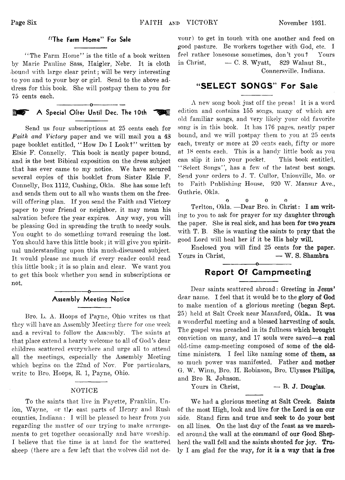#### "The Farm Home" For Sale

"The Farm Home" is the title of a book written by Marie Pauline Sass, Ilaigler, Nebr. It is cloth hound with large clear print; will be very interesting to you and to your boy or girl. Send to the above address for this book. She will postpay them to you for 75 cents each.

#### ---------------- o---------------- **A Special Offer Until Dec. The 10th**  $\rightarrow$

Send us four subscriptions at 25 cents each for *Faith and Victory* paper and we will mail you a 48 page booklet entitled, " How Do I Look?" written by Elsie F. Connelly. This book is neatly paper bound, and is the best Bibical exposition on the dress subject that has ever came to my notice. We have secured several copies of this booklet from Sister Elsie F. Connelly, Box 1112, Cushing, Okla, She has some left and sends them out to all who wants them on the freewill offering plan. If you send the Faith and Victory paper to your friend or neighbor, it may mean his salvation before the year expires. Any way, you will be pleasing God in spreading the truth to needy souls. You ought to do something toward rescuing the lost. You should have this little book; it will give you spiritual understanding upon this much-discussed subject. It would please me much if every reader could read this little book; it is so plain and clear. We want you to get this book whether you send in subscriptions or not.

#### -----------------o----------------- **Assembly Meeting Notice**

Bro. L. A. Hoops of Payne, Ohio writes us that they will have an Assembly Meeting there for one week and a revival to follow the Assembly. The saints at that place extend a hearty welcome to all of God's dear children scattered everywhere and urge all to attend all the meetings, especially the Assembly Meeting which begins on the 22nd of Nov. For particulars, write to Bro. Hoops, R. 1, Payne, Ohio.

#### NOTICE

To the saints that live in Fayette, Franklin, Union, Wayne, or the east parts of Henry and Rush counties, Indiana: I will be pleased to hear from you regarding the matter of our trying to make arrangements to get together occasionally and have worship. I believe that the time is at hand for the scattered sheep (there are a few left that the wolves did not de-

vour) to get in touch with one another and feed on good pasture. Be workers together with God, etc. I feel rather lonesome sometimes, don't you? Yours in Christ,  $\qquad -C.$  S. Wyatt, 829 Walnut St., Connersville. Indiana.

#### **"SELECT SONGS" For Sale**

A new song book just off the press! It is a word edition and contains 155 songs, many of which are old familiar songs, and very likely your old favorite song is in this book. It has 176 pages, neatly paper bound, and we will postpay them to you at 25 cents each, twenty or more at 20 cents each, fifty or more at 18 cents each. This is a handy little book as you can slip it into your pocket. This book entitled, "Select Songs", has a few of the latest best songs. Send your orders to J. T. Cullor, Unionville, Mo. or to Faith Publishing House, 920 W. Mansur Ave., Guthrie, Okla.

0 0 0 0 Terlton, Okla. — Dear Bro. in Christ: **I am writ**ing to you to ask for prayer for my daughter **through** the paper. She is real sick, and has been **for two years** with T. B. She is wanting the saints to **pray that the** good Lord will heal her if it be His **holy will.**

Enclosed you will find **25** cents **for the paper.** Yours in Christ, — **W. S. Shambra**

#### ---------------- o---------------- **Report Of Campmeeting**

Dear saints scattered abroad: Greeting **in Jesus'** dear name. **I** feel that it would be to the **glory of God** to make mention of a glorious meeting **(began Sept.** 25) held at Salt Creek near Mannford, Okla.. **It was** a wonderful meeting and a blessed harvesting **of souls.** The gospel was preached in its fullness **which brought** conviction on many, and 17 souls were saved—**a real** old-time camp-meeting composed of some **of the old**time ministers. I feel like naming some **of them, as** so much power was manifested. Father and **mother** G. W. Winn, Bro. II. Robinson, Bro. Ulysses **Philips,** and Bro R. Johnson.

Yours in Christ,  $\qquad \qquad \qquad$  **B. J. Douglas.** 

We had a glorious meeting at Salt Creek. **Saints** of the most High, look and live for the Lord **is on our** side. Stand firm and true and seek to do your **best** on all lines. On the last day of the feast **as we march**ed around the wall at the command of our Good **Shep**herd the wall fell and the saints shouted for joy. **Tru**ly **I** am glad for the way, for **it is a way that is free**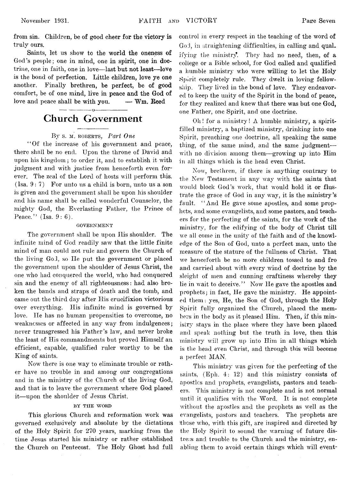from sin. Children, be of good cheer for the victory is truly ours.

Saints, let us show to the world the oneness of God's people; one in mind, one in spirit, one in doctrine, one in faith, one in love—last but not least—love is the bond of perfection. Little children, love ye one another. Finally brethren, be perfect, be of good comfort, be of one mind, live in peace and the God of love and peace shall be with you. — **Wm.** Reed

#### ---------------- 0----------------- **Church Government**

#### By s. **M**. ROBERTS, Part One

" Of the increase of his government and peace, there shall be no end. Upon the throne of David and upon his kingdom; to order it, and to establish it with judgment and with justice from henceforth even forever. The zeal of the Lord of hosts will perform this. (Isa. 9:7) For unto us a child is born, unto us a son is given and the government shall be upon his shoulder and his name shall be called wonderful Counselor, the mighty God, the Everlasting Father, the Prince of Peace."  $(Isa. 9: 6)$ .

#### GOVERNMENT

The government shall be upon Ilis shoulder. The infinite mind of God readily saw that the little finite mind of man could not rule and govern the Church of the living God, so He put the government or placed the government upon the shoulder of Jesus Christ, the one who had conquered the world, who had conquered sin and the enemy of all righteousness: had also broken the bands and straps of death and the tomb, and came out the third day after His crucifixion victorious over everything. His infinite mind is governed by love. He has no human propensities to overcome, no weaknesses or affected in any way from indulgences; never transgressed his Father's law, and never broke the least of His commandments but proved Himself an efficient, capable, qualified ruler worthy to be the King of saints.

Now there is one way to eliminate trouble or rather have no trouble in and among our congregations and in the ministry of the Church of the living God, and that is to leave the government where God placed it— upon the shoulder of Jesus Christ.

#### **BY THE WORD**

This glorious Church and reformation work was governed exclusively and absolute by the dictations of the Holy Spirit for 270 years, marking from the time Jesus started his ministry or rather established the Church on Pentecost. The Holy Ghost had full

control in every respect in the teaching of the word of God, in straightening difficulties, in calling and qualifying the ministry. They had no need, then, of a college or a Bible school, for God called and qualified a humble ministry who were willing to let the Holy Spirit completely rule. They dwelt in loving fellowship. They lived in the bond of love. They endeavored to keep the unity of the Spirit in the bond of peace, for they realized and knew that there was but one God, one Father, one Spirit, and one doctrine.

Oh! for a ministry! A humble ministry, a spiritfilled ministry, a baptized ministry, drinking into one Spirit, preaching one doctrine, all speaking the same thing, of the same mind, and the same judgment with no division among them—growing up into Him in all things which is the head even Christ.

Now, brethren, if there is anything contrary to the New Testament in any way with the saints that would block God's work, that would hold it or flustrate the grace of God in any way, it is the ministry's fault. "And He gave some apostles, and some prophets, and some evangelists, and some pastors, and teachers for the perfecting of the saints, for the work of the ministry, for the edifying of the body of Christ till we all come in the unity of the faith and of the knowledge of the Son of God, unto a perfect man, unto the measure of the stature of the fullness of Christ. That we henceforth be no more children tossed to and fro and carried about with every wind of doctrine by the sleight of men and cunning craftiness whereby they lie in wait to deceive." Now He gave the apostles and prophets; in fact, He gave the ministry. He appointed them: yes, He, the Son of God, through the Holy Spirit fully organized the Church, placed the members in the body as it pleased Him. Then, if this ministry stays in the place where they have been placed and speak nothing but the truth in love, then this ministry will grow up into Him in all things which is the head even Christ, and through this will become a perfect MAN.

This ministry was given for the perfecting of the saints, (Eph. 4: 12) and this ministry consists of apostles and prophets, evangelists, pastors and teachers. This ministry is not complete and is not normal until it qualifies with the Word. It is not complete without the apostles and the prophets as well as the evangelists, pastors and teachers. The prophets are those who, with this gift, are inspired and directed by the Holy Spirit to sound the warning of future distress and trouble to the Church and the ministry, enabling them to avoid certain things which will event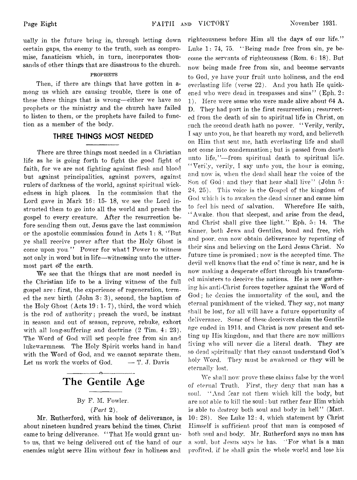ually in the future bring in, through letting down certain gaps, the enemy to the truth, such as compromise, fanaticism which, in turn, incorporates thousands of other things that are disastrous to the church.

#### PROPHETS

Then, if there are things that have gotten in among us which are causing trouble, there is one of these three things that is wrong— either we have no prophets or the ministry and the church have failed to listen to them, or the prophets have failed to function as a member of the body.

#### **THREE THINGS MOST NEEDED**

There are three things most needed in a Christian life as he is going forth to fight the good fight of faith, for we are not fighting against flesh and blood but against principalities, against powers, against rulers of darkness of the world, against spiritual wickedness in high places. In the commission that the Lord gave in Mark 16: 15- 18, we see the Lord instructed them to go into all the world and preach the gospel to every creature. After the resurrection before sending them out, Jesus gave the last commission or the apostolic commission found in Acts 1: 8, " But ye shall receive power after that the Holy Ghost is come upon you." Power for what? Power to witness not only in word but in life— witnessing unto the uttermost part df the earth.

We see that the things that are most needed in the Christian life to be a living witness of the full gospel are: first, the experience of regeneration, termed the new birth (John 3:3), second, the baptism of the Holy Ghost (Acts 19 : 1- 7), third, the word which is the rod of authority; preach the word, be instant in season and out of season, reprove, rebuke, exhort with all long-suffering and doctrine (2 Tim. 4: 23). The Word of God will set people free from sin and lukewarmness. The Holy Spirit works hand in hand with the Word of God, and we cannot separate them. Let us work the works of God.  $-$  T. J. Davis

#### **------------------ o-----------------— The Gentile Age**

#### By F. M. Fowler.

#### *{Part* 2).

Mr. Rutherford, with his book of deliverance, is about nineteen hundred years behind the times. Christ came to bring deliverance. ' ' That He would grant unto us, that we being delivered out of the hand of our enemies might serve Him without fear in holiness and

righteousness before Him all the days of our life." Luke 1: 74, 75. " Being made free from sin, ye become the servants of righteousness (Rom. 6: 18). But now being made free from sin, and become servants to God, ye have your fruit unto holiness, and the end everlasting life (verse 22). And you hath He quickened who were dead in trespasses and sins" (Eph. 2: 1). Here were some who were made alive about 64 A. D. They had part in the first resurrection ; resurrected from the death of sin to spiritual life in Christ, on such the second death hath no power. "Verily, verily, I say unto you, he that heareth my word, and believeth on Him that sent me, hath everlasting life and shall not come into condemnation; but is passed from death unto life,"--from spiritual death to spiritual life. " Verily, verily, I say unto you, the hour is coming, and now is, when the dead shall hear the voice of the Son of God: and they that hear shall live" (John 5: 24, 25). This voice is the Gospel of the kingdom of God which is to awaken the dead sinner and cause him to feel his need of salvation. Wherefore He saith, " Awake, thou that sleepest, and arise from the dead, and Christ shall give thee light." Eph. 5: 14. The sinner, both Jews and Gentiles, bond and free, rich and poor, can now obtain deliverance by repenting of their sins and believing on the Lord Jesus Christ, No future time is promised; now is the accepted time. The devil well knows that the end *o:* time is near, and he is now making a desperate effort through his transformed ministers to deceive the nations. He is now gathering his anti-Christ forces together against the Word of God; he denies the immortality of the soul, and the eternal punishment of the wicked. They say, not many shall be lost, for all will have a future opportunity of deliverance. Some of these deceivers claim the Gentile age ended in 1914, and Christ is now present and setting up His kingdom, and that there are now millions living who will never die a literal death. They are so dead spiritually that they cannot understand God's holy Word. They must be awakened or they will be eternally lost,

We shall now prove these claims false by the word of eternal Truth. First, they deny that man has a soul. "And fear not them which kill the body, but are not able to kill the soul: but rather fear Him which is able to destroy both soul and body in hell" (Matt, 10: 28). See Luke 12: 4, which statement by Christ Himself is sufficient proof that man is composed of both soul and body. Mr. Rutherford says no man has a soul, but Jesus says he has. ' 'For what is a man profited, if he shall gain the whole world and lose his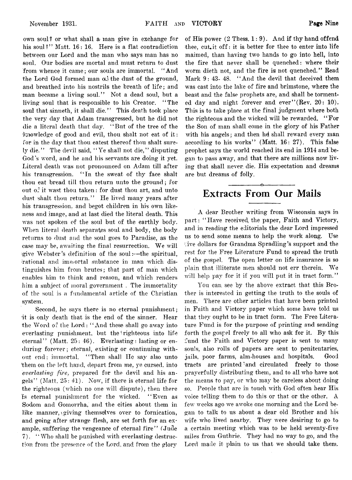own soul? or what shall a man give in exchange for his soul?" Matt. 16: 16. Here is a flat contradiction between our Lord and the man who says man has no soul. Our bodies are mortal and must return to dust from whence it came; our souls are immortal. "And the Lord God formed man od the dust of the ground, and breathed into his nostrils the breath of life ; and man became a living soul." Not a dead soul, but a living soul that is responsible to his Creator. " The soul that sinneth, it shall die." This death took place the very day that Adam transgressed, but he did not die a literal death that day. " But of the tree of the  $k$ nowledge of good and evil, thou shalt not eat of it: for in the day that thou eatest thereof thou shalt surely die." The devil said, " Ye shall not die," disputing God's word, and he and his servants are doing it yet. Literal death was not pronounced on Adam till after his transgression. " In the sweat of thy face shalt thou eat bread till thou return unto the ground; for out  $\sigma^2$  it wast thou taken: for dust thou art, and unto dust shalt thou return." He lived many years after his transgression, and begot children in his own likeness and image, and at last died the literal death. This was not spoken of the soul but of the earthly body. When literal death separates soul and body, the body returns to dust and the soul goes to Paradise, as the case may be, awaiting the final resurrection. We will give Webster's definition of the soul:— the spiritual, rational and immortal substance in man which distinguishes him from brutes; that part of man which enables him to think and reason, and which renders him a subject of moral government . The immortality of the soul is a fundamental article of the Christian system.

Second, he says there is no eternal punishment; •it is only death that is the end of the sinner. Hear the Word of the Lord: " And these shall go away into everlasting punishment, but the righteous into life eternal" (Matt. 25: 46). Everlasting: lasting or enduring forever; eternal, existing or continuing without end; immortal. "Then shall He say also unto them on the left hand, depart from me, ye cursed, into *everlasting fire,* prepared for the devil and his angels" (Matt. 25: 41). Now, if there is eternal life for the righteous (which no one will dispute), then there Is eternal punishment for the wicked. " Even as Sodom and Gomorrha, and the cities about them in like manner, giving themselves over to fornication, and going after strange flesh, are set forth for an example, suffering the vengeance of eternal fire" (Jude 7). " Who shall be punished with everlasting destruction from the presence of the Lord, and from the glory

of His power  $(2 \text{ Thess}, 1:9)$ . And if thy hand offend thee, cut, it off: it is better for thee to enter into life maimed, than having two hands to go into hell, into the fire that never shall be quenched: where their worm dieth not, and the fire is not quenched." Read Mark 9: 43-48. "And the devil that deceived them was cast into the lake of fire and brimstone, where the beast and the false prophets are, and shall be tormented day and night forever and ever"  $(Rev. 20: 10)$ . This is to take place at the final judgment where both the righteous and the wicked will be rewarded. "For the Son of man shall come in the glory of his Father with his angels; and then he shall reward every man according to his works" (Matt. 16: 27). This false prophet says the world reached its end in 1914 and began to pass away, and that there are millions now living that shall never, die. His expectation and dreams are but dreams of folly.

#### ---------------- o---------------- **Extracts From Our Mails**

A dear Brother writing from Wisconsin says in part: "Have received, the paper, Faith and Victory, and in reading the editorials the dear Lord impressed us to send some means to help the work along. Use five dollars for Grandma Spradling's support and the rest for the Free Literature Fund to spread the truth of the gospel. The open letter on life insurance is so plain that illiterate men should not err therein. We will help pay for it if you will put it in tract form."

You can, see by the above extract that this Brother is interested in getting the truth to the souls of men. There are other articles that have been printed in Faith and Victory paper which some have told us that they ought to be in tract form. The Free Literature Fund is for the purpose of printing and sending forth the gospel freely to all who ask for it. By this fund the Faith and Victory paper is sent to many souls, also rolls of papers are sent to penitentaries, jails, poor farms, aim-houses and hospitals. Good tracts are printed and circulated freely to those prayerfully distributing them, and to all who have not the means to pay, or who may be careless about doing so. People that are in touch with God often hear His voice telling them to do this or that or the other. A few weeks ago we awoke one morning and the Lord began to talk to us about a dear old Brother and his wife who lived nearby. They were desiring to go to a certain meeting which was to be held seventy-five miles from Guthrie. They had no way to go, and the Lord made it plain to us that we should take them.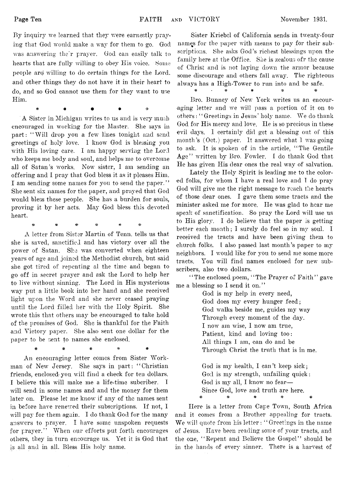By inquiry we learned that they were earnestly praying that God would make a way for them to go. God was answering their prayer. God can easily talk to hearts that are fully willing to obey His voice. Some people ard willing to do certain things for the Lord, and other things they do not have it in their heart to do, and so God cannot use them for they want to use Him.

 $\ast$  +  $\bullet$  +  $\ast$ 

A Sister in Michigan writes to us and is very much encouraged in working for the Master. She says in part: "Will drop you a few lines tonight and send greetings of holy love. 1 know God is blessing you with His loving care. I am happy serving the Lord who keeps me body and soul, and helps me to overcome all of Satan's works. Now sister, I am sending an offering and I pray that God bless it as it pleases Him. I am sending some names for you to send the paper." She sent six names for the paper, and prayed that God would bless these people. She has a burden for souls, proving it by her acts. May God bless this devoted heart.

# # # =& #

A letter from Sister Martin of Tenn. tells us that she is saved, sanctified and has victory over all the power of Satan. She was converted when eighteen years of age and joined the Methodist church, but said she got tired of repenting al the time and began to go off in secret prayer and ask the Lord to help her to live without sinning. The Lord in His mysterious way put a little book into her hand and she received light upon the Word and she never ceased praying until the Lord filled her with the Holy Spirit. She wrote this that others may be encouraged to take hold of the promises of God. She is thankful for the Faith and Victory paper. She also sent one dollar for the paper to be sent to names she enclosed.

An encouraging letter comes from Sister Workman of New Jersey. She says in part: " Christian friends, enclosed- you will find a check for ten dollars. I believe this will make me a life-time suberiber. I will send in some names and and the money for them later on. Please let me know if any of the names sent in before have renewed their subscriptions. If not, I will pay for them again. I do thank God for the many answers to prayer. I have some unspoken requests for prayer." When our efforts put forth encourages others, they in turn encourage us. Yet it is God that is all and in all. Bless His holy name.

# # *\** \* *\**

Sister Kriebcl of California sends in twenty-four names for the paper with means to pay for their subscriptions. She asks God's richest blessings upon the family here at the Office. She is zealous ofr the cause of Christ and is not laying down the armor because some discourage and others fall away. The righteous always has a Iligh-Tower to run into and be safe. # \* # # *\* %*

Bro. Bunney of New York writes us an encouraging letter and we will pass a portion of it on to others: " Greetings in Jesus' holy name. We do thank God for His mercy and love. He is so precious in these evil days. I certainly did get a blessing out of this month's (Oct.) paper. It answered what I was going to ask. It is spoken of in the article, " The Gentile Age" written by Bro. Fowler. I do thank God that He has given His dear ones the real way of salvation.

Lately the Holy Spirit is leading me to the colored folks, for whom I have a real love and I do pray God will give me the right message to reach the hearts of those dear ones. I gave them some tracts and the minister asked me for more. He was glad to hear me speak of sanctification. So pray the Lord will use us to His glory. I do believe that the paper is getting better each month; I surely do feel so in my soul. I received the tracts and have been giving them to church folks. I also passed last month's paper to my neighbors. I would like for you to send me some more tracts. You will find names enclosed for new subscribers, also two dollars.

"The enclosed poem, "The Prayer of Faith" gave me a blessing so I send it on."

> God is my help in every need, God does my every hunger feed; God walks beside me, guides my way Through every moment of the day. I now am wise, I now am true, Patient, kind and loving too: All things I am, can do and be Through Christ the truth that is in me.

God is my health, I can't keep sick; God is my strength, unfailing quick: God is my all, I know no fear— Since God, love and truth are here. # \* \* \* *%*

Here is a letter from Cape Town, South Africa and it comes from a Brother appealing for tracts. We will quote from his letter: " Greetings in the name of Jesus. Have been reading some of your tracts, and the one, " Repent and Believe the Gospel" should be in the hands of every sinner. There is a harvest of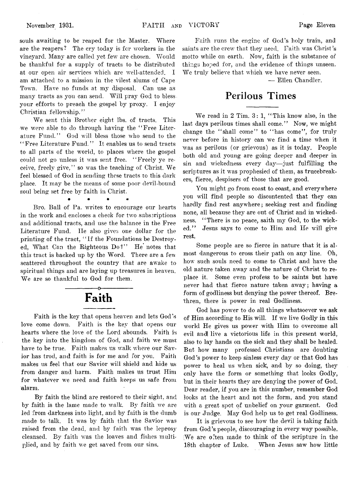souls awaiting to be reaped for the Master. Where are the reapers? The cry today is for workers in the vineyard. Many are called yet few are chosen. Would be thankful for a supply of tracts to be distributed at our open air services which are well-attended. I am attached to a mission in the vilest slums of Cape Town. Have no funds at my disposal. Can use as many tracts as you can send. Will pray God to bless your efforts to preach the gospel by proxy. I enjoy Christian fellowship."

We sent this Brother eight lbs. of tracts. This we were able to do through having the " Free Literature Fund." God will bless those who send to the *' '* Free Literature Fund. ' ' It enables us to send tracts to all parts of the world, to places where the gospel could not go unless it was sent free. " Freely ye receive, freely give," so was the teaching of Christ. We feel blessed of God in sending these tracts to this dark place. It may be the means of some poor devil-bound soul being set free by faith in Christ.

# # # \*

Bro. Ball of Pa. writes to encourage our hearts in the work and encloses a check for two subscriptions and additional tracts, and use the balance in the Free Literature Fund. lie also gives one dollar for the printing of the tract, "If the Foundations be Destroyed, What Can the Righteous Do?" He notes that this tract is backed up by the Word. There are a few scattered throughout the country that are awake to spiritual things and are laying up treasures in heaven. We are so thankful to God for them.

# Faith

Faith is the key that opens heaven and lets God's love come down. Faith is the key that opens our hearts where the love of the Lord abounds. Faith is the key into the kingdom of God, and faith we must have to be true. Faith makes us walk where our Savior has trod, and faith is for me and for you. Faith makes us feel that our Savior will shield and hide us from danger and harm. Faith makes us trust Him for whatever we need and faith keeps us safe from alarm.

By faith the blind are restored to their sight, and by faith is the lame made to walk.. By faith we are led from darkness into light, and by faith is the dumb made to talk. It was by faith that the Savior was raised from the dead, and by faith was the leprosy cleansed. By faith was the loaves and fishes multiplied, and by faith we get, saved from our sins.

Faith runs the engine of God's holy train, and saints are the crew that they need. Faith was Christ's motto while on earth. Now, faith is the substance of things hoped for, and the evidence of things unseen. We truly believe that which we have never seen.

— Ellen Chandler.

#### **Perilous Times**

We read in 2 Tim. 3: 1, " This know also, in the last days perilous times shall come." Now, we might change the "shall come" to "has come", for truly never before in history can we find a time when it was as perilous (or grievous) as it is today. People both old and young are going deeper and deeper in sin and wickedness every day—just fulfilling the scriptures as it was prophesied of them, as trucebreakers, fierce, despisers of those that are good.

You might go from coast to coast, and everywhere you will find people so discontented that they can hardly find rest anywhere; seeking rest and finding none, all because they are out of Christ and in wickedness. " There is no peace, saith my God, to the wicked." Jesus says to come to Him and He will give rest.

Some people are so fierce in nature that it is almost dangerous to cross their path on any line. Oh, how such souls need to come to Christ and have the old nature taken away and the nature of Christ to replace it. Some even profess to be saints but have never had that fierce nature taken away; having a form of godliness but denying the power thereof. Brethren, there is power in real Godliness.

God has power to do all things whatsoever we ask of Him according to His will. If we live Godly in this world He gives us power with Him to overcome all evil and! live a victorious life in this present world, also to lay hands on the sick and they shall be healed. But how many professed Christians are doubting God's power to keep sinless every day or that God has power to heal us when sick, and by so doing, they only have the form or something that looks Godly, but in their hearts they are denying the power of God. Dear reader, if you are in this number, remember God looks at the heart and not the form, and you stand with a great spot of unbelief on your garment. God is our Judge. May God help us to get real Godliness.

It is grievous to see how the devil is taking faith from God's people, discouraging in every way possible. (We are o:ten made to think of the scripture in the 18th chapter of Luke. When Jesus saw how little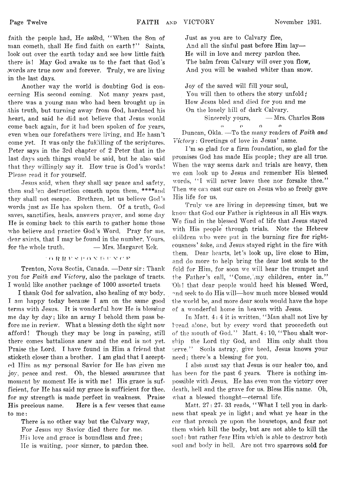faith the people had, He asked, "When the Son of man cometh, shall He find faith on earth?" Saints, look out over the earth today and see how little faith there is! May God awake us to the fact that God's words are true now and forever. Truly, we are living in the last days.

Another way the world is doubting God is concerning His second coming. Not many years past, there was a young man who had been brought up in .this truth, but turning away from God, hardened his heart, and said he did not believe that Jesus would come back again, for it had been spoken of for years, even when our forefathers were living, and He hasn't come yet. It was only the fulfilling of the scriptures. Peter says in the 3rd chapter of 2 Peter that in the last days such things would be said, but he also said that they willingly say it. How true is God's words! Please read it for yourself.

Jesus said, when they shall say peace and safety, then sudden destruction cometh upon them, \*\*\*\*and they shall not escape. Brethren, let us believe God's words just as He has spoken them. Of a truth, God saves, sanctifies, heals, answers prayer, and some day He is coming back to this earth to gather home those who believe and practice God's Word. Pray for me, dear saints, that I may be found in the number. Yours, for the whole truth,  $\qquad \qquad =$  Mrs. Margaret Eck.

#### n r? P v « p n v n r v *r v*

Trenton, Nova Scotia, Canada. —Dear sir: Thank you for *Faith and Victory*, also the package of tracts. I would like another package of 1000 assorted tracts

I thank God for salvation, also healing of my body. I am happy today because I am on the same good terms with Jesus. It is wonderful how He is blessing me day by day; like an army I behold them pass before me in review. What a blessing doth the sight now afford! Though they may be long in passing, still there comes battalions anew and the end is not yet. Praise the Lord. I have found in Him a friend that sticketh closer than a brother. I am glad that I accepted Him as my personal Savior for He has given me joy, peace and rest. Oh, the blessed assurance that moment by moment He is with me! His grace is sufficient, for He has said my grace is sufficient for thee, for my strength is made perfect in weakness. Praise His precious name. Here is a few verses that came to me:

There is no other way but the Calvary way, For Jesus my Savior died there for me. His love and grace is boundless and free; He is waiting, poor sinner, to pardon thee.

Just as you are to Calvary flee, And all the sinful past before Him lay— He will in love and mercy pardon thee. The balm from Calvary will over you flow, And you will be washed whiter than snow.

Joy of the saved will fill your soul, You will then to others the story unfold; How Jesus bled and died for you and me On the lonely hill of dark Calvary. Sincerely yours, — Mrs. Charles Ross

o o o o

Duncan, Okla. — To the many readers of *Faith and Victory*: Greetings of love in Jesus' name.

I'm so glad for a firm foundation, so glad for the promises God has made His people; they are all true. When the way seems dark and trials are heavy, then we can look up to Jesus and remember His blessed words, "I will never leave thee nor forsake thee." Then we can cast our care on Jesus who so freely gave His life for us.

Truly we are living in depressing times, but we know that God our Father is righteous in all His ways. We find in the blessed Word of life that Jesus stayed with His people through trials. Note the Hebrew children who were put in the burning fire for righteousness' sake, and Jesus stayed right in the fire with them. Dear hearts, let's look up, live close to Him, and do more to help bring the dear lost souls to the fold for Him, for soon we will hear the trumpet and the Father's call, "Come, my children, enter in." 'Oh ! that dear people would heed his blessed Word, and seek to do His will*—how* much more blessed would the world be, and more dear souls would have the hope of a wonderful home in heaven with Jesus.

In Matt. 4: 4 it is written, " Man shall not live by bread alone, but by every word that proceedeth out of the mouth of God." Matt. 4: 10, " Thou shalt worship the Lord thy God, and Him only shalt thou serve." Souls astray, give heed, Jesus knows your need; there's a blessing for you.

I also must say that Jesus is our healer too, and has been for the past 6 years. There is nothing impossible with Jesus. He has even won the victory over death, hell and the grave for us. Bless His name. Oh, what a blessed thought—eternal life.

Matt. 27: 27- 33 reads, " What I tell you in darkness that speak ye in light; and what ye hear in the ear that preach ye upon the housetops, and fear not them which kill the body, but are not able to kill the soul: but rather fear Him which is able to destroy both soul and body in hell. Are not two sparrows sold for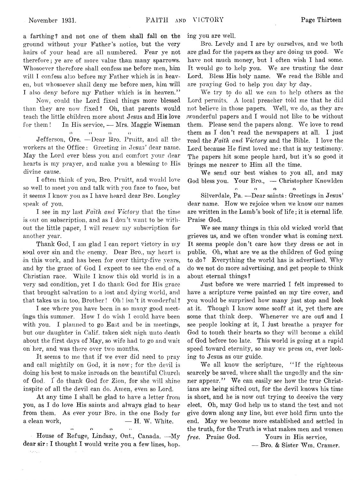a farthing? and not one of them shall fall on the ground without your Father's notice, but the very hairs of your head are all numbered. Fear ye not therefore; ye are of more value than many sparrows. Whosoever therefore shall confess me before men, him will I confess also before my Father which is in heaven, but whosoever shall deny me before men, him will I also deny before my Father which is in heaven."

Now, could the Lord fixed things more blessed than they are now fixed? Oh, that parents would teach the little children more about Jesus and His love for them! In His service, — Mrs. Maggie Wiseman

n n o n

Jefferson, Ore. — Dear Bro. Pruitt, and all the workers at the Office: Greeting in Jesus' dear name. May the Lord ever bless you and comfort your dear hearts is my prayer, and make you a blessing to His divine cause.

I often think of you, Bro. Pruitt, and would love so well to meet you and talk with you face to face, but it seems I know you as I have heard dear Bro. Longley speak of you.

I. see in my last *Faith and Victory* that the time is out on subscription, and as I don't want to be without the little paper, I will renew my subscription for another year.

Thank God, I am glad I can report victory in my soul over sin and the enemy. Dear Bro., my heart is in this work, and has been for over thirty-five years, and by the grace of God I expect to see the end, of a Christian race. While I know this old world is in a very sad condition, yet I do thank God for His grace that brought salvation to a lost and dying world, and that takes us in too, Brother ! Oh ! isn't it wonderful ?

I see where you have been in so many good meetings this summer. How I do wish I could have been with you. I planned to go East and be in meetings, but our daughter in Calif, taken sick nigh unto death about the first days of May, so wife had to go and wait on her, and was there over two months.

It seems to me that if we ever did need to pray and call mightily on God, it is now; for the devil is doing his best to make inroads on the beautiful Church of God. I do thank God for Zion, for she will shine inspite of all the devil can do. Amen, even so Lord.

At any time I shall be glad to have a letter from you, as I do love His saints and always glad to hear from them. As ever your Bro. in the one Body for a clean work,  $- H$ . W. White. *n* o '

House of Refuge, Lindsay, Ont., Canada. —My dear sir: I thought I would write you a few lines, hop.

 $\epsilon_{\rm 200}$ 

ing you are well.

Bro. Levely and I are by ourselves, and we both are glad for the papers as they are doing us good. We have not much money, but I often wish I had some. It would go to help you. We are trusting the dear Lord. Bless His holy name. We read the Bible and are praying God to help you day by day.

We try to do all we can to help others as the Lord permits. A local preacher told me that he did not believe in those papers. Well, we do, as they are wonderful papers and I would not like to be without them. Please send the papers along. We love to read them as I don't read the newspapers at all. I just 'read the *Faith and Victory* and the Bible. I love the Lord because He first loved me: that is my testimony. The papers hit some people hard, but it's so good it brings me nearer to Him all the time.

We send our best wishes to you all, and may God bless you. Your Bro., — Christopher Knowlden

**r. o n o** Silverdale, Pa. — Dear saints: Greetings in Jesus' dear name. How we rejoice when we know our names are written in the Lamb's book of life; it is eternal life. Praise God.

We see many things in this old wicked world that grieves us, and we often wonder what is coming next. It seems people don't care how they dress or act in public. Oh, what are *we* as the children of God going to do? Everything the world has is advertised. Why do *we* not do more advertising, and get people to think about eternal things?

Just before we were married I felt impressed to have a scripture verse painted on my tire cover, and you would be surprised how many just stop and look at it. Though I know some scoff at it, yet there are some that think deep. Whenever we are out and I see people looking at it, I just breathe a prayer for God to touch their hearts so they will become a child of God before too late. This world is going at a rapid speed toward eternity, so may we press on, ever looking to Jesus as our guide.

We all know the scripture, "If the righteous scarcely be saved, where shall the ungodly and the sinner appear." We can easily see how the true Christians are being sifted out, for the devil knows his time is short, and he is now out trying to deceive the very elect. Oh, may God help us to stand the test and not give dowm along any line, but ever hold firm unto the end. May we become more established and settled in the truth, for the Truth is what makes men and women *free.* Praise God. Yours in His service,

— Bro. & Sister Wm. Cramer.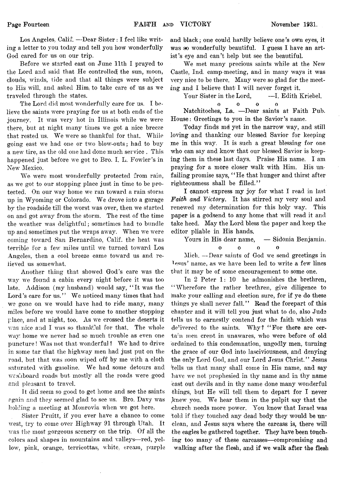Los Angeles, Calif. —Dear Sister: I feel like writing a letter to you today and tell you how wonderfully God cared for us on our trip.

Before we started east on June 11th I prayed to the Lord and said that He controlled the sun, moon, clouds, winds, tide and that all things were subject to His will, and asked Him, to take care of us as we traveled through the states.

The Lord did most wonderfully care for us. I believe the saints were praying for us at both ends of the journey. It was very hot in Illinois while we were there, but at night many times we got a nice breeze that rested us. We were so thankful for that. While going east we had one or two blow-outs; had to buy a new tire, as the old one had done much service . This happened just before we got to Bro. I. L. Fowler's in New Mexico.

We were most wonderfully protected from rain, as we got to our stopping place just in time to be protected. On our way home we ran toward a rain storm up in Wyoming or Colorado. We drove into a garage by the roadside till the worst was over, then we started on and got away from the storm. The rest of the time the weather was delightful; sometimes had to bundle up and sometimes put the wraps away. When we were coming toward San Bernardino, Calif, the heat was terrible for a few miles until we turned toward Los Angeles, then a cool breeze came toward us and relieved us somewhat.

Another thing that showed God's care was the way we found a cabin every night before it was too late. Addison (my husband) would say, " It was the Lord's care for us." We noticed many times that had we gone on we would have had to ride many, many miles before we would have come to another stopping place, and at night, too. As we crossed the deserts it was nice and I was so thankful for that. The whole wav: home we never had so much trouble as even one puncture! Was not that wonderful ? We had to drive in some tar that the highway men had just put on the road, but that was soon wiped off by me with a cloth saturated with gasoline. We had some detours and washboard roads but mostly all the roads were good and pleasant to travel.

It did seem so good to get home and see the saints again and they seemed glad to see us. Bro. Davy was holding a meeting at Monrovia when we got here.

Sister Pruitt, if you ever have a chance to come west, try to come over Highway 91 through Utah. It was the most gorgeous scenery on the trip. Of all the colors and shapes in mountains and'valleys—red, yellow, pink, orange, terricottas, white, cream, purple

and black; one could hardly believe one's own eyes, it was so wonderfully beautiful. I guess I have an artist's eye and can't help but see the beautiful.

We met many precious saints while at the New Castle, Ind. camp-meeting, and in many ways it was very nice to be there. Many were so glad for the meeting and I believe that I will never forget it.

Your Sister in the Lord, T-I. Edith Kriebel.

oooo  $\Omega$ Natchitoches, La. —Dear saints at Faith Pub. House: Greetings to you in the Savior's name.

Today finds md yet in the narrow way, and still loving and thanking our blessed Savior for keeping me in this way. It is such a great blessing for one who can say and know that our blessed Savior is keeping them in these last days. Praise His name. I am praying for a more closer walk with Him. His unfailing promise says, "He that hunger and thirst after righteousness shall be filled."

I cannot express my joy for what I read in last *Faith and Victory.* It has stirred my very soul and renewed mv determination for this holy way. This paper is a godsend to any home that will read it and take heed. May the Lord bless the paper and keep the editor pliable in His hands.

Yours in His dear name, - Sidonia Benjamin.  $\mathbf{o}$ 

$$
0 \qquad \quad 0 \qquad \quad 0
$$

Mich. — Dear saints of God we send greetings in Usus' name, as we have been led to write a few lines that it may be of some encouragement to some one.

In 2 Peter 1: 10 he admonishes the brethren, " Wherefore the rather brethren, give diligence to make your calling and election sure, for if ye do these things ye shall never fall." Read the forepart of this chapter and it will tell you just what to do, also Jude tells us to earnestly contend for the faith which was delivered to the saints. Why? "For there are certa:n men crept in unawares, who were before of old ordained to this condemnation, ungodly men, turning the grace of our God into lasciviousness, and denying the only Lord God, and our Lord Jesus Christ." Jesus fells us that many shall come in His name, and say have we not prophesied in thy name and in thy name cast out devils and in thy name done many wonderful things, but He will tell them to depart for I never ,knew you. We hear them in the pulpit say that the church needs more power. You know that Israel was told if they touched any dead body they would be unclean, and Jesus says where the carcass is, there will the eagles be gathered together. They have been touching too many of these carcasses— compromising and walking after the flesh, and if we walk after the flesh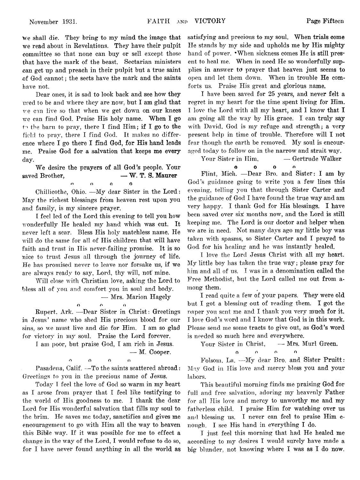We shall die. They bring to my mind the image that we read about in Revelations. They have their pulpit committee so that none can buy or sell except those that have the mark of the beast. Sectarian ministers can get up and preach in their pulpit but a true saint of God cannot; the sects have the mark and the saints have not.

Dear ones, it is sad to look back and see how **they** used to be and where they are now, but I am glad that we can live so that when we get down on our knees we can find God. Praise His holy name. When I go the barn to pray, there I find Him; if I go to the field to pray, there I find God. It makes no difference where I go there I find God, for His hand leads me. Praise God for a salvation that keeps **me every** day.

We desire the prayers of all God's people. Your saved Brother, — **W. T. S. Maurer**

n o O O

Chillicothe, Ohio. —My dear Sister in the Lord: May the richest blessings from heaven rest upon you and family, is my sincere prayer.

I feel led of the Lord this evening to tell you how wonderfully He healed my hand which was cut. It never left a scar. Bless His holy matchless name. He will do the same for all of His children that will have faith and trust in His never-failing promise. It is so nice to trust Jesus all through the journey of life. He has promised never to leave nor forsake us, if we are always ready to say, Lord, thy will, not mine.

Will close with Christian love, asking the Lord to bless all of you and comfort you in soul and body.

— Mrs. Marion Hagely

**o r» o** Rupert. Ark. —Dear Sister in Christ: Greetings in Jesus' name who shed His precious blood for our sins, so we must live and die for Him. I am so glad for victory in my soul. Praise the Lord forever.

I am poor, but praise God, I am rich in Jesus,

$$
-
$$
 M. Cooper.

**o o o n** Pasadena, Calif. — To the saints scattered abroad: Greetings to you in the precious name of Jesus.

Today I feel the love of God so warm in my heart as I arose from prayer that I feel like testifying to the world of His goodness to me. I thank the dear Lord for His wonderful salvation that fills my soul to the brim. He saves me today, sanctifies and gives me encouragement to go with Him all the way to heaven this Bible way. If it was possible for me to effect a change in the way of the Lord, I would refuse to do so, for I have never found anything in all the world as satisfying and precious to my soul. When trials come He stands by my side and upholds me by His mighty hand of power. • When sickness comes He is still present to heal me. When in need He so wonderfully supplies in answer to prayer that heaven just seems to open and let them down. When in trouble He comforts us. Praise His great and glorious name.

I have been saved for 25 years, and never felt a regret in my heart for the time spent living for Him. I love the Lord with all my heart, and I know that I am going all the way by His grace. I can truly say with David, God is my refuge and strength; a very present help in time of trouble. Therefore will I not fear though the earth be removed. My soul is encouraged today to follow on in the narrow and strait way.

Your Sister in Him,  $-$  Gertrude Walker

O O O n

Flint, Mich. —Dear Bro. and Sister: I am by God's guidance going to write you a few lines this evening, telling you that through Sister Carter and the guidance of God I have found the true way and am very happy. I thank God for His blessings. I have been saved over six months now, and the Lord is still keeping me. The Lord is our doctor and helper when we are in need. Not many days ago my little boy was taken with spasms, so Sister Carter and I prayed to God for his healing and he was instantly healed.

I love the Lord Jesus Christ with all my heart. My little boy has taken the true way; please pray for him and all of us. I was in a denomination called the Free Methodist, but the Lord called me out from among them.

I read quite a few of your papers. They were old but I got a blessing out of reading them. I got the paper you sent me and I thank you very much for it. I love God's word and I know that God is in this work. Please send me some tracts to give out, as God's word is needed so much here and everywhere.

Your Sister in Christ,  $-$  Mrs. Murl Green.

$$
0 \qquad \qquad 0 \qquad \qquad 0 \qquad \qquad 0
$$

Folsom, La. —My dear Bro. and Sister Pruitt: May God in His love and mercy bless you and your labors.

This beautiful morning finds me praising God for full and free salvation, adoring my heavenly Father for all His love and mercy to unworthy me and my fatherless child. I praise Him for watching over us and blessing us. I never can feel to praise Him enough. I see His hand in everything I do.

I just feel this morning that had He healed me according to my desires I would surely have made a big blunder, not knowing where I was as I do now.